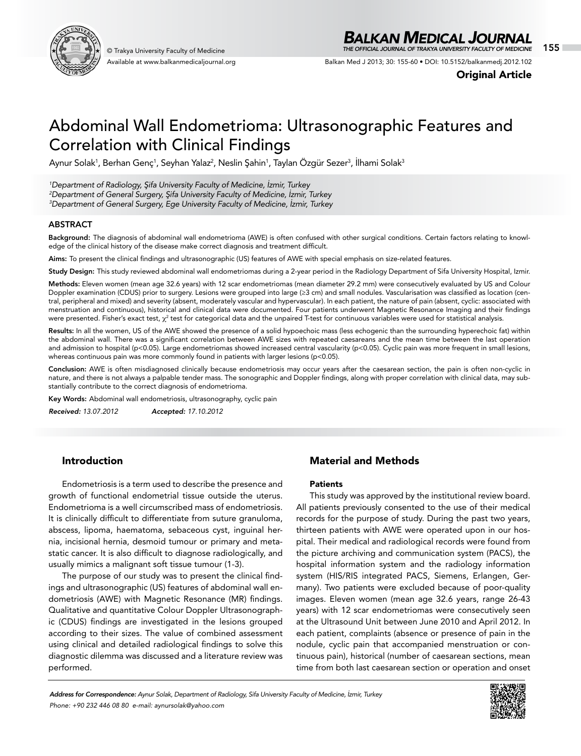

Available at www.balkanmedicaljournal.org

# *BALKAN MEDICAL JOURNAL*

 $\circ$  Trakya University Faculty of Medicine  $155$ 

Balkan Med J 2013; 30: 155-60 • DOI: 10.5152/balkanmedj.2012.102

Original Article

# Abdominal Wall Endometrioma: Ultrasonographic Features and Correlation with Clinical Findings

Aynur Solak<sup>1</sup>, Berhan Genç<sup>1</sup>, Seyhan Yalaz<sup>2</sup>, Neslin Şahin<sup>1</sup>, Taylan Özgür Sezer<sup>3</sup>, Ilhami Solak<sup>3</sup>

*1 Department of Radiology, Şifa University Faculty of Medicine, İzmir, Turkey 2 Department of General Surgery, Şifa University Faculty of Medicine, İzmir, Turkey 3 Department of General Surgery, Ege University Faculty of Medicine, İzmir, Turkey*

#### **ABSTRACT**

Background: The diagnosis of abdominal wall endometrioma (AWE) is often confused with other surgical conditions. Certain factors relating to knowledge of the clinical history of the disease make correct diagnosis and treatment difficult.

Aims: To present the clinical findings and ultrasonographic (US) features of AWE with special emphasis on size-related features.

Study Design: This study reviewed abdominal wall endometriomas during a 2-year period in the Radiology Department of Sifa University Hospital, Izmir.

Methods: Eleven women (mean age 32.6 years) with 12 scar endometriomas (mean diameter 29.2 mm) were consecutively evaluated by US and Colour Doppler examination (CDUS) prior to surgery. Lesions were grouped into large (≥3 cm) and small nodules. Vascularisation was classified as location (central, peripheral and mixed) and severity (absent, moderately vascular and hypervascular). In each patient, the nature of pain (absent, cyclic: associated with menstruation and continuous), historical and clinical data were documented. Four patients underwent Magnetic Resonance Imaging and their findings were presented. Fisher's exact test,  $\chi^2$  test for categorical data and the unpaired T-test for continuous variables were used for statistical analysis.

Results: In all the women, US of the AWE showed the presence of a solid hypoechoic mass (less echogenic than the surrounding hyperechoic fat) within the abdominal wall. There was a significant correlation between AWE sizes with repeated caesareans and the mean time between the last operation and admission to hospital (p<0.05). Large endometriomas showed increased central vascularity (p<0.05). Cyclic pain was more frequent in small lesions, whereas continuous pain was more commonly found in patients with larger lesions (p<0.05).

Conclusion: AWE is often misdiagnosed clinically because endometriosis may occur years after the caesarean section, the pain is often non-cyclic in nature, and there is not always a palpable tender mass. The sonographic and Doppler findings, along with proper correlation with clinical data, may substantially contribute to the correct diagnosis of endometrioma.

Key Words: Abdominal wall endometriosis, ultrasonography, cyclic pain

*Received: 13.07.2012 Accepted: 17.10.2012*

# Introduction

Endometriosis is a term used to describe the presence and growth of functional endometrial tissue outside the uterus. Endometrioma is a well circumscribed mass of endometriosis. It is clinically difficult to differentiate from suture granuloma, abscess, lipoma, haematoma, sebaceous cyst, inguinal hernia, incisional hernia, desmoid tumour or primary and metastatic cancer. It is also difficult to diagnose radiologically, and usually mimics a malignant soft tissue tumour (1-3).

The purpose of our study was to present the clinical findings and ultrasonographic (US) features of abdominal wall endometriosis (AWE) with Magnetic Resonance (MR) findings. Qualitative and quantitative Colour Doppler Ultrasonographic (CDUS) findings are investigated in the lesions grouped according to their sizes. The value of combined assessment using clinical and detailed radiological findings to solve this diagnostic dilemma was discussed and a literature review was performed.

# Material and Methods

#### **Patients**

This study was approved by the institutional review board. All patients previously consented to the use of their medical records for the purpose of study. During the past two years, thirteen patients with AWE were operated upon in our hospital. Their medical and radiological records were found from the picture archiving and communication system (PACS), the hospital information system and the radiology information system (HIS/RIS integrated PACS, Siemens, Erlangen, Germany). Two patients were excluded because of poor-quality images. Eleven women (mean age 32.6 years, range 26-43 years) with 12 scar endometriomas were consecutively seen at the Ultrasound Unit between June 2010 and April 2012. In each patient, complaints (absence or presence of pain in the nodule, cyclic pain that accompanied menstruation or continuous pain), historical (number of caesarean sections, mean time from both last caesarean section or operation and onset

*Address for Correspondence: Aynur Solak, Department of Radiology, Sifa University Faculty of Medicine, İzmir, Turkey Phone: +90 232 446 08 80 e-mail: aynursolak@yahoo.com*

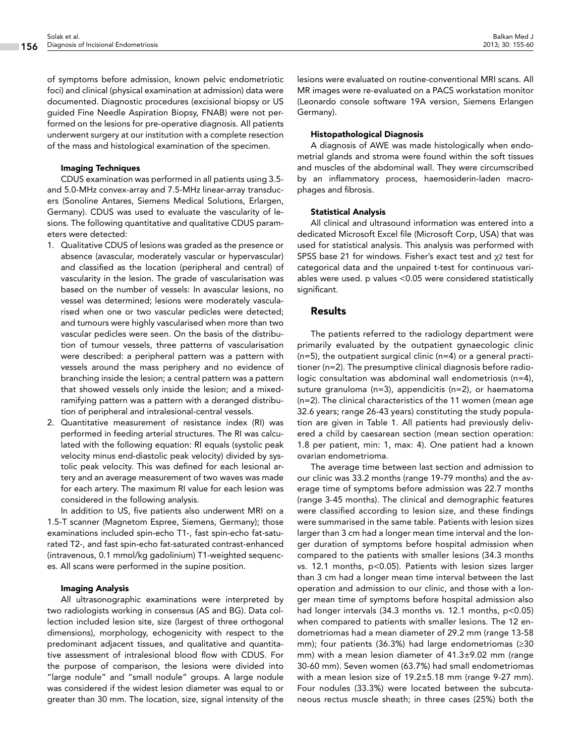of symptoms before admission, known pelvic endometriotic foci) and clinical (physical examination at admission) data were documented. Diagnostic procedures (excisional biopsy or US guided Fine Needle Aspiration Biopsy, FNAB) were not performed on the lesions for pre-operative diagnosis. All patients underwent surgery at our institution with a complete resection of the mass and histological examination of the specimen.

#### Imaging Techniques

CDUS examination was performed in all patients using 3.5 and 5.0-MHz convex-array and 7.5-MHz linear-array transducers (Sonoline Antares, Siemens Medical Solutions, Erlargen, Germany). CDUS was used to evaluate the vascularity of lesions. The following quantitative and qualitative CDUS parameters were detected:

- 1. Qualitative CDUS of lesions was graded as the presence or absence (avascular, moderately vascular or hypervascular) and classified as the location (peripheral and central) of vascularity in the lesion. The grade of vascularisation was based on the number of vessels: In avascular lesions, no vessel was determined; lesions were moderately vascularised when one or two vascular pedicles were detected; and tumours were highly vascularised when more than two vascular pedicles were seen. On the basis of the distribution of tumour vessels, three patterns of vascularisation were described: a peripheral pattern was a pattern with vessels around the mass periphery and no evidence of branching inside the lesion; a central pattern was a pattern that showed vessels only inside the lesion; and a mixedramifying pattern was a pattern with a deranged distribution of peripheral and intralesional-central vessels.
- 2. Quantitative measurement of resistance index (RI) was performed in feeding arterial structures. The RI was calculated with the following equation: RI equals (systolic peak velocity minus end-diastolic peak velocity) divided by systolic peak velocity. This was defined for each lesional artery and an average measurement of two waves was made for each artery. The maximum RI value for each lesion was considered in the following analysis.

In addition to US, five patients also underwent MRI on a 1.5-T scanner (Magnetom Espree, Siemens, Germany); those examinations included spin-echo T1-, fast spin-echo fat-saturated T2-, and fast spin-echo fat-saturated contrast-enhanced (intravenous, 0.1 mmol/kg gadolinium) T1-weighted sequences. All scans were performed in the supine position.

#### Imaging Analysis

All ultrasonographic examinations were interpreted by two radiologists working in consensus (AS and BG). Data collection included lesion site, size (largest of three orthogonal dimensions), morphology, echogenicity with respect to the predominant adjacent tissues, and qualitative and quantitative assessment of intralesional blood flow with CDUS. For the purpose of comparison, the lesions were divided into "large nodule" and "small nodule" groups. A large nodule was considered if the widest lesion diameter was equal to or greater than 30 mm. The location, size, signal intensity of the lesions were evaluated on routine-conventional MRI scans. All MR images were re-evaluated on a PACS workstation monitor (Leonardo console software 19A version, Siemens Erlangen Germany).

#### Histopathological Diagnosis

A diagnosis of AWE was made histologically when endometrial glands and stroma were found within the soft tissues and muscles of the abdominal wall. They were circumscribed by an inflammatory process, haemosiderin-laden macrophages and fibrosis.

#### Statistical Analysis

All clinical and ultrasound information was entered into a dedicated Microsoft Excel file (Microsoft Corp, USA) that was used for statistical analysis. This analysis was performed with SPSS base 21 for windows. Fisher's exact test and χ2 test for categorical data and the unpaired t-test for continuous variables were used. p values <0.05 were considered statistically significant.

# Results

The patients referred to the radiology department were primarily evaluated by the outpatient gynaecologic clinic  $(n=5)$ , the outpatient surgical clinic  $(n=4)$  or a general practitioner (n=2). The presumptive clinical diagnosis before radiologic consultation was abdominal wall endometriosis (n=4), suture granuloma (n=3), appendicitis (n=2), or haematoma (n=2). The clinical characteristics of the 11 women (mean age 32.6 years; range 26-43 years) constituting the study population are given in Table 1. All patients had previously delivered a child by caesarean section (mean section operation: 1.8 per patient, min: 1, max: 4). One patient had a known ovarian endometrioma.

The average time between last section and admission to our clinic was 33.2 months (range 19-79 months) and the average time of symptoms before admission was 22.7 months (range 3-45 months). The clinical and demographic features were classified according to lesion size, and these findings were summarised in the same table. Patients with lesion sizes larger than 3 cm had a longer mean time interval and the longer duration of symptoms before hospital admission when compared to the patients with smaller lesions (34.3 months vs. 12.1 months, p<0.05). Patients with lesion sizes larger than 3 cm had a longer mean time interval between the last operation and admission to our clinic, and those with a longer mean time of symptoms before hospital admission also had longer intervals (34.3 months vs. 12.1 months, p<0.05) when compared to patients with smaller lesions. The 12 endometriomas had a mean diameter of 29.2 mm (range 13-58 mm); four patients (36.3%) had large endometriomas (≥30 mm) with a mean lesion diameter of 41.3±9.02 mm (range 30-60 mm). Seven women (63.7%) had small endometriomas with a mean lesion size of 19.2±5.18 mm (range 9-27 mm). Four nodules (33.3%) were located between the subcutaneous rectus muscle sheath; in three cases (25%) both the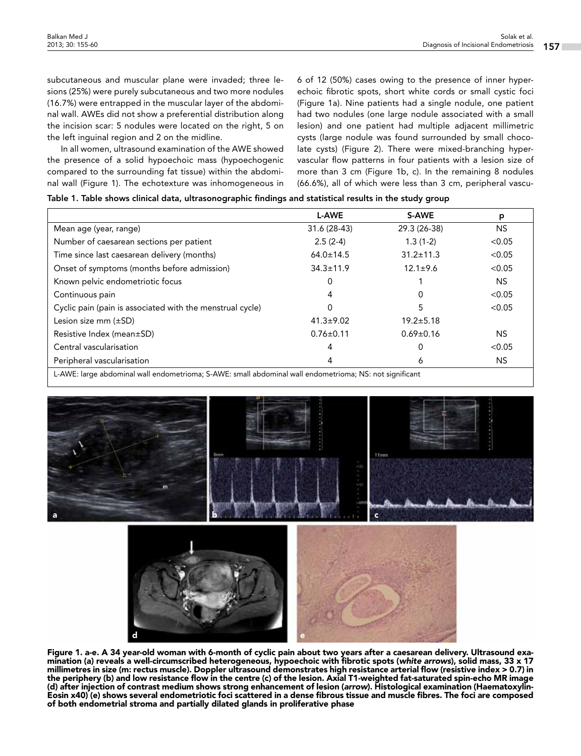subcutaneous and muscular plane were invaded; three lesions (25%) were purely subcutaneous and two more nodules (16.7%) were entrapped in the muscular layer of the abdominal wall. AWEs did not show a preferential distribution along the incision scar: 5 nodules were located on the right, 5 on the left inguinal region and 2 on the midline.

In all women, ultrasound examination of the AWE showed the presence of a solid hypoechoic mass (hypoechogenic compared to the surrounding fat tissue) within the abdominal wall (Figure 1). The echotexture was inhomogeneous in

d

6 of 12 (50%) cases owing to the presence of inner hyperechoic fibrotic spots, short white cords or small cystic foci (Figure 1a). Nine patients had a single nodule, one patient had two nodules (one large nodule associated with a small lesion) and one patient had multiple adjacent millimetric cysts (large nodule was found surrounded by small chocolate cysts) (Figure 2). There were mixed-branching hypervascular flow patterns in four patients with a lesion size of more than 3 cm (Figure 1b, c). In the remaining 8 nodules (66.6%), all of which were less than 3 cm, peripheral vascu-

|  |  | Table 1. Table shows clinical data, ultrasonographic findings and statistical results in the study group |
|--|--|----------------------------------------------------------------------------------------------------------|
|--|--|----------------------------------------------------------------------------------------------------------|

|                                                           | <b>L-AWE</b>    | <b>S-AWE</b>    | р         |
|-----------------------------------------------------------|-----------------|-----------------|-----------|
| Mean age (year, range)                                    | 31.6 (28-43)    | 29.3 (26-38)    | NS.       |
| Number of caesarean sections per patient                  | $2.5(2-4)$      | $1.3(1-2)$      | < 0.05    |
| Time since last caesarean delivery (months)               | $64.0 \pm 14.5$ | $31.2 \pm 11.3$ | < 0.05    |
| Onset of symptoms (months before admission)               | $34.3 \pm 11.9$ | $12.1 \pm 9.6$  | < 0.05    |
| Known pelvic endometriotic focus                          | O               |                 | NS.       |
| Continuous pain                                           | 4               | O               | < 0.05    |
| Cyclic pain (pain is associated with the menstrual cycle) |                 | 5               | < 0.05    |
| Lesion size mm $(\pm SD)$                                 | $41.3 \pm 9.02$ | $19.2 \pm 5.18$ |           |
| Resistive Index (mean±SD)                                 | $0.76 \pm 0.11$ | $0.69 \pm 0.16$ | <b>NS</b> |
| Central vascularisation                                   | 4               | O               | < 0.05    |
| Peripheral vascularisation                                | 4               | 6               | NS.       |

L-AWE: large abdominal wall endometrioma; S-AWE: small abdominal wall endometrioma; NS: not significant



Figure 1. a-e. A 34 year-old woman with 6-month of cyclic pain about two years after a caesarean delivery. Ultrasound exa-<br>mination (a) reveals a well-circumscribed heterogeneous, hypoechoic with fibrotic spots (white arro millimetres in size (m: rectus muscle). Doppler ultrasound demonstrates high resistance arterial flow (resistive index > 0.7) in the periphery (b) and low resistance flow in the centre (c) of the lesion. Axial T1-weighted fat-saturated spin-echo MR image (d) after injection of contrast medium shows strong enhancement of lesion (*arrow*). Histological examination (Haematoxylin-Eosin x40) (e) shows several endometriotic foci scattered in a dense fibrous tissue and muscle fibres. The foci are composed of both endometrial stroma and partially dilated glands in proliferative phase

e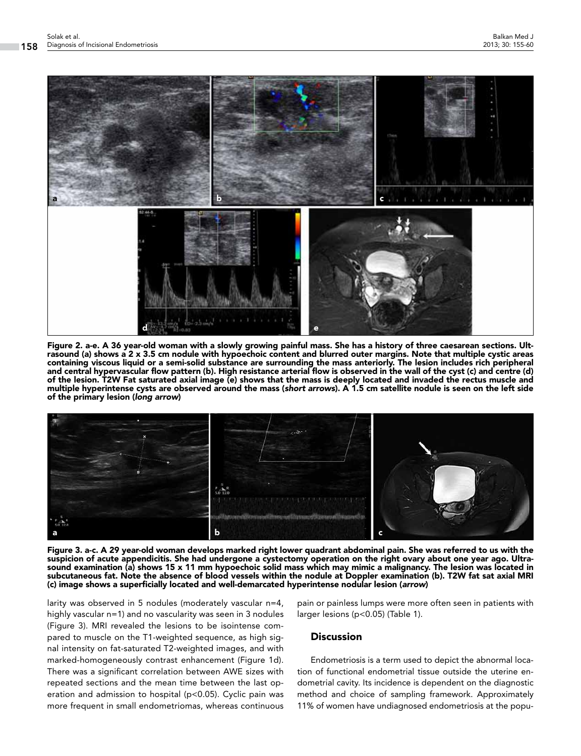

Figure 2. a-e. A 36 year-old woman with a slowly growing painful mass. She has a history of three caesarean sections. Ultrasound (a) shows a 2 x 3.5 cm nodule with hypoechoic content and blurred outer margins. Note that multiple cystic areas containing viscous liquid or a semi-solid substance are surrounding the mass anteriorly. The lesion includes rich peripheral and central hypervascular flow pattern (b). High resistance arterial flow is observed in the wall of the cyst (c) and centre (d) of the lesion. T2W Fat saturated axial image (e) shows that the mass is deeply located and invaded the rectus muscle and multiple hyperintense cysts are observed around the mass (*short arrows*). A 1.5 cm satellite nodule is seen on the left side of the primary lesion (*long arrow*)



Figure 3. a-c. A 29 year-old woman develops marked right lower quadrant abdominal pain. She was referred to us with the suspicion of acute appendicitis. She had undergone a cystectomy operation on the right ovary about one year ago. Ultrasound examination (a) shows 15 x 11 mm hypoechoic solid mass which may mimic a malignancy. The lesion was located in subcutaneous fat. Note the absence of blood vessels within the nodule at Doppler examination (b). T2W fat sat axial MRI (c) image shows a superficially located and well-demarcated hyperintense nodular lesion (*arrow*)

larity was observed in 5 nodules (moderately vascular n=4, highly vascular n=1) and no vascularity was seen in 3 nodules (Figure 3). MRI revealed the lesions to be isointense compared to muscle on the T1-weighted sequence, as high signal intensity on fat-saturated T2-weighted images, and with marked-homogeneously contrast enhancement (Figure 1d). There was a significant correlation between AWE sizes with repeated sections and the mean time between the last operation and admission to hospital (p<0.05). Cyclic pain was more frequent in small endometriomas, whereas continuous

pain or painless lumps were more often seen in patients with larger lesions (p<0.05) (Table 1).

# **Discussion**

Endometriosis is a term used to depict the abnormal location of functional endometrial tissue outside the uterine endometrial cavity. Its incidence is dependent on the diagnostic method and choice of sampling framework. Approximately 11% of women have undiagnosed endometriosis at the popu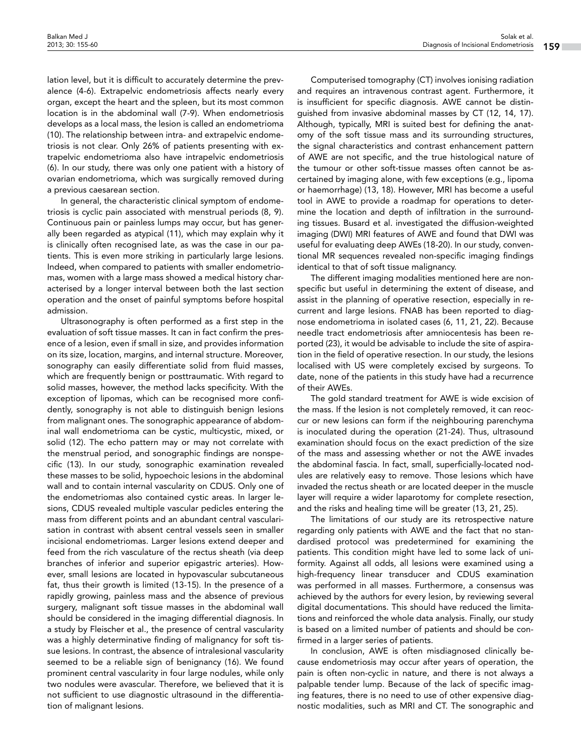lation level, but it is difficult to accurately determine the prevalence (4-6). Extrapelvic endometriosis affects nearly every organ, except the heart and the spleen, but its most common location is in the abdominal wall (7-9). When endometriosis develops as a local mass, the lesion is called an endometrioma (10). The relationship between intra- and extrapelvic endometriosis is not clear. Only 26% of patients presenting with extrapelvic endometrioma also have intrapelvic endometriosis (6). In our study, there was only one patient with a history of ovarian endometrioma, which was surgically removed during a previous caesarean section.

In general, the characteristic clinical symptom of endometriosis is cyclic pain associated with menstrual periods (8, 9). Continuous pain or painless lumps may occur, but has generally been regarded as atypical (11), which may explain why it is clinically often recognised late, as was the case in our patients. This is even more striking in particularly large lesions. Indeed, when compared to patients with smaller endometriomas, women with a large mass showed a medical history characterised by a longer interval between both the last section operation and the onset of painful symptoms before hospital admission.

Ultrasonography is often performed as a first step in the evaluation of soft tissue masses. It can in fact confirm the presence of a lesion, even if small in size, and provides information on its size, location, margins, and internal structure. Moreover, sonography can easily differentiate solid from fluid masses, which are frequently benign or posttraumatic. With regard to solid masses, however, the method lacks specificity. With the exception of lipomas, which can be recognised more confidently, sonography is not able to distinguish benign lesions from malignant ones. The sonographic appearance of abdominal wall endometrioma can be cystic, multicystic, mixed, or solid (12). The echo pattern may or may not correlate with the menstrual period, and sonographic findings are nonspecific (13). In our study, sonographic examination revealed these masses to be solid, hypoechoic lesions in the abdominal wall and to contain internal vascularity on CDUS. Only one of the endometriomas also contained cystic areas. In larger lesions, CDUS revealed multiple vascular pedicles entering the mass from different points and an abundant central vascularisation in contrast with absent central vessels seen in smaller incisional endometriomas. Larger lesions extend deeper and feed from the rich vasculature of the rectus sheath (via deep branches of inferior and superior epigastric arteries). However, small lesions are located in hypovascular subcutaneous fat, thus their growth is limited (13-15). In the presence of a rapidly growing, painless mass and the absence of previous surgery, malignant soft tissue masses in the abdominal wall should be considered in the imaging differential diagnosis. In a study by Fleischer et al., the presence of central vascularity was a highly determinative finding of malignancy for soft tissue lesions. In contrast, the absence of intralesional vascularity seemed to be a reliable sign of benignancy (16). We found prominent central vascularity in four large nodules, while only two nodules were avascular. Therefore, we believed that it is not sufficient to use diagnostic ultrasound in the differentiation of malignant lesions.

Computerised tomography (CT) involves ionising radiation and requires an intravenous contrast agent. Furthermore, it is insufficient for specific diagnosis. AWE cannot be distinguished from invasive abdominal masses by CT (12, 14, 17). Although, typically, MRI is suited best for defining the anatomy of the soft tissue mass and its surrounding structures, the signal characteristics and contrast enhancement pattern of AWE are not specific, and the true histological nature of the tumour or other soft-tissue masses often cannot be ascertained by imaging alone, with few exceptions (e.g., lipoma or haemorrhage) (13, 18). However, MRI has become a useful tool in AWE to provide a roadmap for operations to determine the location and depth of infiltration in the surrounding tissues. Busard et al. investigated the diffusion-weighted imaging (DWI) MRI features of AWE and found that DWI was useful for evaluating deep AWEs (18-20). In our study, conventional MR sequences revealed non-specific imaging findings identical to that of soft tissue malignancy.

The different imaging modalities mentioned here are nonspecific but useful in determining the extent of disease, and assist in the planning of operative resection, especially in recurrent and large lesions. FNAB has been reported to diagnose endometrioma in isolated cases (6, 11, 21, 22). Because needle tract endometriosis after amniocentesis has been reported (23), it would be advisable to include the site of aspiration in the field of operative resection. In our study, the lesions localised with US were completely excised by surgeons. To date, none of the patients in this study have had a recurrence of their AWEs.

The gold standard treatment for AWE is wide excision of the mass. If the lesion is not completely removed, it can reoccur or new lesions can form if the neighbouring parenchyma is inoculated during the operation (21-24). Thus, ultrasound examination should focus on the exact prediction of the size of the mass and assessing whether or not the AWE invades the abdominal fascia. In fact, small, superficially-located nodules are relatively easy to remove. Those lesions which have invaded the rectus sheath or are located deeper in the muscle layer will require a wider laparotomy for complete resection, and the risks and healing time will be greater (13, 21, 25).

The limitations of our study are its retrospective nature regarding only patients with AWE and the fact that no standardised protocol was predetermined for examining the patients. This condition might have led to some lack of uniformity. Against all odds, all lesions were examined using a high-frequency linear transducer and CDUS examination was performed in all masses. Furthermore, a consensus was achieved by the authors for every lesion, by reviewing several digital documentations. This should have reduced the limitations and reinforced the whole data analysis. Finally, our study is based on a limited number of patients and should be confirmed in a larger series of patients.

In conclusion, AWE is often misdiagnosed clinically because endometriosis may occur after years of operation, the pain is often non-cyclic in nature, and there is not always a palpable tender lump. Because of the lack of specific imaging features, there is no need to use of other expensive diagnostic modalities, such as MRI and CT. The sonographic and